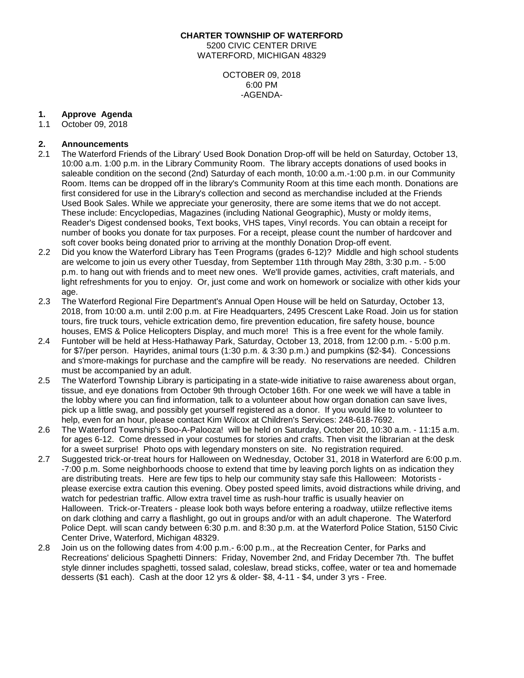#### **CHARTER TOWNSHIP OF WATERFORD**

5200 CIVIC CENTER DRIVE WATERFORD, MICHIGAN 48329

> OCTOBER 09, 2018 6:00 PM -AGENDA-

### **1. Approve Agenda**

1.1 October 09, 2018

### **2. Announcements**

- 2.1 The Waterford Friends of the Library' Used Book Donation Drop-off will be held on Saturday, October 13, 10:00 a.m. 1:00 p.m. in the Library Community Room. The library accepts donations of used books in saleable condition on the second (2nd) Saturday of each month, 10:00 a.m.-1:00 p.m. in our Community Room. Items can be dropped off in the library's Community Room at this time each month. Donations are first considered for use in the Library's collection and second as merchandise included at the Friends Used Book Sales. While we appreciate your generosity, there are some items that we do not accept. These include: Encyclopedias, Magazines (including National Geographic), Musty or moldy items, Reader's Digest condensed books, Text books, VHS tapes, Vinyl records. You can obtain a receipt for number of books you donate for tax purposes. For a receipt, please count the number of hardcover and soft cover books being donated prior to arriving at the monthly Donation Drop-off event.
- 2.2 Did you know the Waterford Library has Teen Programs (grades 6-12)? Middle and high school students are welcome to join us every other Tuesday, from September 11th through May 28th, 3:30 p.m. - 5:00 p.m. to hang out with friends and to meet new ones. We'll provide games, activities, craft materials, and light refreshments for you to enjoy. Or, just come and work on homework or socialize with other kids your age.
- 2.3 The Waterford Regional Fire Department's Annual Open House will be held on Saturday, October 13, 2018, from 10:00 a.m. until 2:00 p.m. at Fire Headquarters, 2495 Crescent Lake Road. Join us for station tours, fire truck tours, vehicle extrication demo, fire prevention education, fire safety house, bounce houses, EMS & Police Helicopters Display, and much more! This is a free event for the whole family.
- 2.4 Funtober will be held at Hess-Hathaway Park, Saturday, October 13, 2018, from 12:00 p.m. 5:00 p.m. for \$7/per person. Hayrides, animal tours (1:30 p.m. & 3:30 p.m.) and pumpkins (\$2-\$4). Concessions and s'more-makings for purchase and the campfire will be ready. No reservations are needed. Children must be accompanied by an adult.
- 2.5 The Waterford Township Library is participating in a state-wide initiative to raise awareness about organ, tissue, and eye donations from October 9th through October 16th. For one week we will have a table in the lobby where you can find information, talk to a volunteer about how organ donation can save lives, pick up a little swag, and possibly get yourself registered as a donor. If you would like to volunteer to help, even for an hour, please contact Kim Wilcox at Children's Services: 248-618-7692.
- 2.6 The Waterford Township's Boo-A-Palooza! will be held on Saturday, October 20, 10:30 a.m. 11:15 a.m. for ages 6-12. Come dressed in your costumes for stories and crafts. Then visit the librarian at the desk for a sweet surprise! Photo ops with legendary monsters on site. No registration required.
- 2.7 Suggested trick-or-treat hours for Halloween on Wednesday, October 31, 2018 in Waterford are 6:00 p.m. -7:00 p.m. Some neighborhoods choose to extend that time by leaving porch lights on as indication they are distributing treats. Here are few tips to help our community stay safe this Halloween: Motorists please exercise extra caution this evening. Obey posted speed limits, avoid distractions while driving, and watch for pedestrian traffic. Allow extra travel time as rush-hour traffic is usually heavier on Halloween. Trick-or-Treaters - please look both ways before entering a roadway, utiilze reflective items on dark clothing and carry a flashlight, go out in groups and/or with an adult chaperone. The Waterford Police Dept. will scan candy between 6:30 p.m. and 8:30 p.m. at the Waterford Police Station, 5150 Civic Center Drive, Waterford, Michigan 48329.
- 2.8 Join us on the following dates from 4:00 p.m.- 6:00 p.m., at the Recreation Center, for Parks and Recreations' delicious Spaghetti Dinners: Friday, November 2nd, and Friday December 7th. The buffet style dinner includes spaghetti, tossed salad, coleslaw, bread sticks, coffee, water or tea and homemade desserts (\$1 each). Cash at the door 12 yrs & older- \$8, 4-11 - \$4, under 3 yrs - Free.